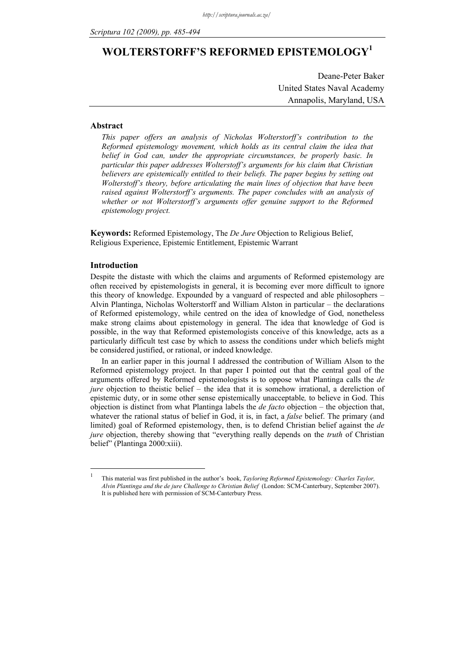# **WOLTERSTORFF'S REFORMED EPISTEMOLOGY1**

Deane-Peter Baker United States Naval Academy Annapolis, Maryland, USA

## **Abstract**

*This paper offers an analysis of Nicholas Wolterstorff's contribution to the Reformed epistemology movement, which holds as its central claim the idea that belief in God can, under the appropriate circumstances, be properly basic. In particular this paper addresses Wolterstoff's arguments for his claim that Christian believers are epistemically entitled to their beliefs. The paper begins by setting out Wolterstoff's theory, before articulating the main lines of objection that have been raised against Wolterstorff's arguments. The paper concludes with an analysis of*  whether or not Wolterstorff's arguments offer genuine support to the Reformed *epistemology project.* 

**Keywords:** Reformed Epistemology, The *De Jure* Objection to Religious Belief, Religious Experience, Epistemic Entitlement, Epistemic Warrant

# **Introduction**

1 1

Despite the distaste with which the claims and arguments of Reformed epistemology are often received by epistemologists in general, it is becoming ever more difficult to ignore this theory of knowledge. Expounded by a vanguard of respected and able philosophers – Alvin Plantinga, Nicholas Wolterstorff and William Alston in particular – the declarations of Reformed epistemology, while centred on the idea of knowledge of God, nonetheless make strong claims about epistemology in general. The idea that knowledge of God is possible, in the way that Reformed epistemologists conceive of this knowledge, acts as a particularly difficult test case by which to assess the conditions under which beliefs might be considered justified, or rational, or indeed knowledge.

In an earlier paper in this journal I addressed the contribution of William Alson to the Reformed epistemology project. In that paper I pointed out that the central goal of the arguments offered by Reformed epistemologists is to oppose what Plantinga calls the *de jure* objection to theistic belief – the idea that it is somehow irrational, a dereliction of epistemic duty, or in some other sense epistemically unacceptable*,* to believe in God. This objection is distinct from what Plantinga labels the *de facto* objection – the objection that, whatever the rational status of belief in God, it is, in fact, a *false* belief. The primary (and limited) goal of Reformed epistemology, then, is to defend Christian belief against the *de jure* objection, thereby showing that "everything really depends on the *truth* of Christian belief" (Plantinga 2000:xiii).

This material was first published in the author's book, *Tayloring Reformed Epistemology: Charles Taylor, Alvin Plantinga and the de jure Challenge to Christian Belief* (London: SCM-Canterbury, September 2007). It is published here with permission of SCM-Canterbury Press.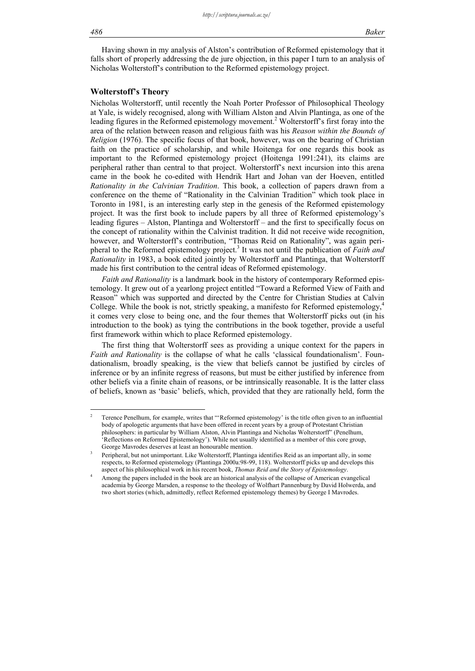1

Having shown in my analysis of Alston's contribution of Reformed epistemology that it falls short of properly addressing the de jure objection, in this paper I turn to an analysis of Nicholas Wolterstoff's contribution to the Reformed epistemology project.

# **Wolterstoff's Theory**

Nicholas Wolterstorff, until recently the Noah Porter Professor of Philosophical Theology at Yale, is widely recognised, along with William Alston and Alvin Plantinga, as one of the leading figures in the Reformed epistemology movement.<sup>2</sup> Wolterstorff's first foray into the area of the relation between reason and religious faith was his *Reason within the Bounds of Religion* (1976). The specific focus of that book, however, was on the bearing of Christian faith on the practice of scholarship, and while Hoitenga for one regards this book as important to the Reformed epistemology project (Hoitenga 1991:241), its claims are peripheral rather than central to that project. Wolterstorff's next incursion into this arena came in the book he co-edited with Hendrik Hart and Johan van der Hoeven, entitled *Rationality in the Calvinian Tradition*. This book, a collection of papers drawn from a conference on the theme of "Rationality in the Calvinian Tradition" which took place in Toronto in 1981, is an interesting early step in the genesis of the Reformed epistemology project. It was the first book to include papers by all three of Reformed epistemology's leading figures – Alston, Plantinga and Wolterstorff – and the first to specifically focus on the concept of rationality within the Calvinist tradition. It did not receive wide recognition, however, and Wolterstorff's contribution, "Thomas Reid on Rationality", was again peripheral to the Reformed epistemology project.<sup>3</sup> It was not until the publication of *Faith and Rationality* in 1983, a book edited jointly by Wolterstorff and Plantinga, that Wolterstorff made his first contribution to the central ideas of Reformed epistemology.

*Faith and Rationality* is a landmark book in the history of contemporary Reformed epistemology. It grew out of a yearlong project entitled "Toward a Reformed View of Faith and Reason" which was supported and directed by the Centre for Christian Studies at Calvin College. While the book is not, strictly speaking, a manifesto for Reformed epistemology, $4$ it comes very close to being one, and the four themes that Wolterstorff picks out (in his introduction to the book) as tying the contributions in the book together, provide a useful first framework within which to place Reformed epistemology.

The first thing that Wolterstorff sees as providing a unique context for the papers in *Faith and Rationality* is the collapse of what he calls 'classical foundationalism'. Foundationalism, broadly speaking, is the view that beliefs cannot be justified by circles of inference or by an infinite regress of reasons, but must be either justified by inference from other beliefs via a finite chain of reasons, or be intrinsically reasonable. It is the latter class of beliefs, known as 'basic' beliefs, which, provided that they are rationally held, form the

<sup>2</sup> Terence Penelhum, for example, writes that "'Reformed epistemology' is the title often given to an influential body of apologetic arguments that have been offered in recent years by a group of Protestant Christian philosophers: in particular by William Alston, Alvin Plantinga and Nicholas Wolterstorff" (Penelhum, 'Reflections on Reformed Epistemology'). While not usually identified as a member of this core group, George Mavrodes deserves at least an honourable mention.

Peripheral, but not unimportant. Like Wolterstorff, Plantinga identifies Reid as an important ally, in some respects, to Reformed epistemology (Plantinga 2000a:98-99, 118). Wolterstorff picks up and develops this aspect of his philosophical work in his recent book, *Thomas Reid and the Story of Epistemology*. 4

Among the papers included in the book are an historical analysis of the collapse of American evangelical academia by George Marsden, a response to the theology of Wolfhart Pannenburg by David Holwerda, and two short stories (which, admittedly, reflect Reformed epistemology themes) by George I Mavrodes.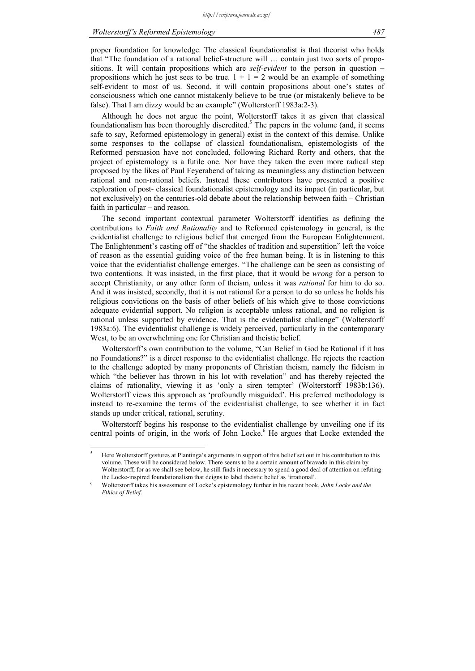<u>.</u>

proper foundation for knowledge. The classical foundationalist is that theorist who holds that "The foundation of a rational belief-structure will … contain just two sorts of propositions. It will contain propositions which are *self-evident* to the person in question – propositions which he just sees to be true.  $1 + 1 = 2$  would be an example of something self-evident to most of us. Second, it will contain propositions about one's states of consciousness which one cannot mistakenly believe to be true (or mistakenly believe to be false). That I am dizzy would be an example" (Wolterstorff 1983a:2-3).

Although he does not argue the point, Wolterstorff takes it as given that classical foundationalism has been thoroughly discredited.<sup>5</sup> The papers in the volume (and, it seems safe to say, Reformed epistemology in general) exist in the context of this demise. Unlike some responses to the collapse of classical foundationalism, epistemologists of the Reformed persuasion have not concluded, following Richard Rorty and others, that the project of epistemology is a futile one. Nor have they taken the even more radical step proposed by the likes of Paul Feyerabend of taking as meaningless any distinction between rational and non-rational beliefs. Instead these contributors have presented a positive exploration of post- classical foundationalist epistemology and its impact (in particular, but not exclusively) on the centuries-old debate about the relationship between faith – Christian faith in particular – and reason.

The second important contextual parameter Wolterstorff identifies as defining the contributions to *Faith and Rationality* and to Reformed epistemology in general, is the evidentialist challenge to religious belief that emerged from the European Enlightenment. The Enlightenment's casting off of "the shackles of tradition and superstition" left the voice of reason as the essential guiding voice of the free human being. It is in listening to this voice that the evidentialist challenge emerges. "The challenge can be seen as consisting of two contentions. It was insisted, in the first place, that it would be *wrong* for a person to accept Christianity, or any other form of theism, unless it was *rational* for him to do so. And it was insisted, secondly, that it is not rational for a person to do so unless he holds his religious convictions on the basis of other beliefs of his which give to those convictions adequate evidential support. No religion is acceptable unless rational, and no religion is rational unless supported by evidence. That is the evidentialist challenge" (Wolterstorff 1983a:6). The evidentialist challenge is widely perceived, particularly in the contemporary West, to be an overwhelming one for Christian and theistic belief.

Wolterstorff's own contribution to the volume, "Can Belief in God be Rational if it has no Foundations?" is a direct response to the evidentialist challenge. He rejects the reaction to the challenge adopted by many proponents of Christian theism, namely the fideism in which "the believer has thrown in his lot with revelation" and has thereby rejected the claims of rationality, viewing it as 'only a siren tempter' (Wolterstorff 1983b:136). Wolterstorff views this approach as 'profoundly misguided'. His preferred methodology is instead to re-examine the terms of the evidentialist challenge, to see whether it in fact stands up under critical, rational, scrutiny.

Wolterstorff begins his response to the evidentialist challenge by unveiling one if its central points of origin, in the work of John Locke.<sup>6</sup> He argues that Locke extended the

<sup>5</sup> Here Wolterstorff gestures at Plantinga's arguments in support of this belief set out in his contribution to this volume. These will be considered below. There seems to be a certain amount of bravado in this claim by Wolterstorff, for as we shall see below, he still finds it necessary to spend a good deal of attention on refuting the Locke-inspired foundationalism that deigns to label theistic belief as 'irrational'.

Wolterstorff takes his assessment of Locke's epistemology further in his recent book, *John Locke and the Ethics of Belief*.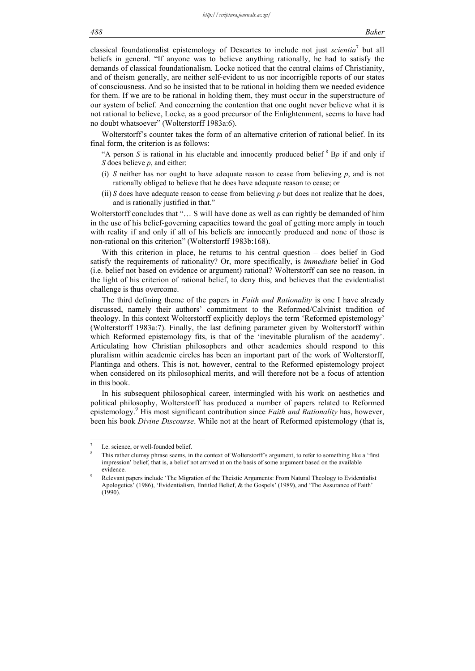classical foundationalist epistemology of Descartes to include not just *scientia*<sup>7</sup> but all beliefs in general. "If anyone was to believe anything rationally, he had to satisfy the demands of classical foundationalism. Locke noticed that the central claims of Christianity, and of theism generally, are neither self-evident to us nor incorrigible reports of our states of consciousness. And so he insisted that to be rational in holding them we needed evidence for them. If we are to be rational in holding them, they must occur in the superstructure of our system of belief. And concerning the contention that one ought never believe what it is not rational to believe, Locke, as a good precursor of the Enlightenment, seems to have had no doubt whatsoever" (Wolterstorff 1983a:6).

Wolterstorff's counter takes the form of an alternative criterion of rational belief. In its final form, the criterion is as follows:

"A person *S* is rational in his eluctable and innocently produced belief  ${}^{8}$  Bp if and only if *S* does believe *p*, and either:

- (i) *S* neither has nor ought to have adequate reason to cease from believing *p*, and is not rationally obliged to believe that he does have adequate reason to cease; or
- (ii) *S* does have adequate reason to cease from believing *p* but does not realize that he does, and is rationally justified in that."

Wolterstorff concludes that "… S will have done as well as can rightly be demanded of him in the use of his belief-governing capacities toward the goal of getting more amply in touch with reality if and only if all of his beliefs are innocently produced and none of those is non-rational on this criterion" (Wolterstorff 1983b:168).

With this criterion in place, he returns to his central question – does belief in God satisfy the requirements of rationality? Or, more specifically, is *immediate* belief in God (i.e. belief not based on evidence or argument) rational? Wolterstorff can see no reason, in the light of his criterion of rational belief, to deny this, and believes that the evidentialist challenge is thus overcome.

The third defining theme of the papers in *Faith and Rationality* is one I have already discussed, namely their authors' commitment to the Reformed/Calvinist tradition of theology. In this context Wolterstorff explicitly deploys the term 'Reformed epistemology' (Wolterstorff 1983a:7). Finally, the last defining parameter given by Wolterstorff within which Reformed epistemology fits, is that of the 'inevitable pluralism of the academy'. Articulating how Christian philosophers and other academics should respond to this pluralism within academic circles has been an important part of the work of Wolterstorff, Plantinga and others. This is not, however, central to the Reformed epistemology project when considered on its philosophical merits, and will therefore not be a focus of attention in this book.

In his subsequent philosophical career, intermingled with his work on aesthetics and political philosophy, Wolterstorff has produced a number of papers related to Reformed epistemology.9 His most significant contribution since *Faith and Rationality* has, however, been his book *Divine Discourse*. While not at the heart of Reformed epistemology (that is,

1

<sup>7</sup> I.e. science, or well-founded belief.

<sup>8</sup> This rather clumsy phrase seems, in the context of Wolterstorff's argument, to refer to something like a 'first impression' belief, that is, a belief not arrived at on the basis of some argument based on the available evidence.

Relevant papers include 'The Migration of the Theistic Arguments: From Natural Theology to Evidentialist Apologetics' (1986), 'Evidentialism, Entitled Belief, & the Gospels' (1989), and 'The Assurance of Faith' (1990).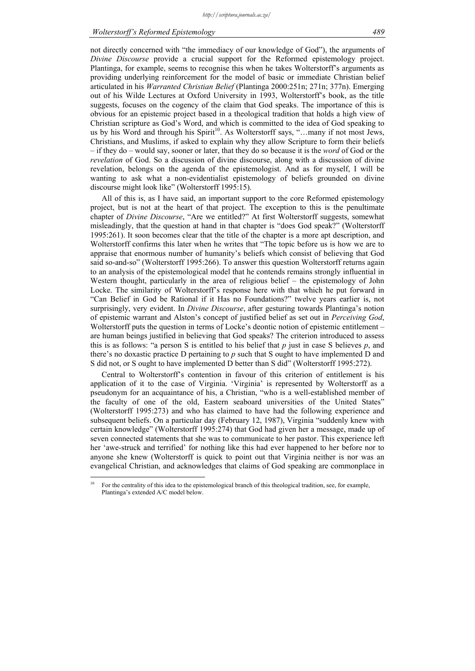not directly concerned with "the immediacy of our knowledge of God"), the arguments of *Divine Discourse* provide a crucial support for the Reformed epistemology project. Plantinga, for example, seems to recognise this when he takes Wolterstorff's arguments as providing underlying reinforcement for the model of basic or immediate Christian belief articulated in his *Warranted Christian Belief* (Plantinga 2000:251n; 271n; 377n). Emerging out of his Wilde Lectures at Oxford University in 1993, Wolterstorff's book, as the title suggests, focuses on the cogency of the claim that God speaks. The importance of this is obvious for an epistemic project based in a theological tradition that holds a high view of Christian scripture as God's Word, and which is committed to the idea of God speaking to us by his Word and through his Spirit<sup>10</sup>. As Wolterstorff says, "...many if not most Jews, Christians, and Muslims, if asked to explain why they allow Scripture to form their beliefs – if they do – would say, sooner or later, that they do so because it is the *word* of God or the *revelation* of God. So a discussion of divine discourse, along with a discussion of divine revelation, belongs on the agenda of the epistemologist. And as for myself, I will be wanting to ask what a non-evidentialist epistemology of beliefs grounded on divine discourse might look like" (Wolterstorff 1995:15).

All of this is, as I have said, an important support to the core Reformed epistemology project, but is not at the heart of that project. The exception to this is the penultimate chapter of *Divine Discourse*, "Are we entitled?" At first Wolterstorff suggests, somewhat misleadingly, that the question at hand in that chapter is "does God speak?" (Wolterstorff 1995:261). It soon becomes clear that the title of the chapter is a more apt description, and Wolterstorff confirms this later when he writes that "The topic before us is how we are to appraise that enormous number of humanity's beliefs which consist of believing that God said so-and-so" (Wolterstorff 1995:266). To answer this question Wolterstorff returns again to an analysis of the epistemological model that he contends remains strongly influential in Western thought, particularly in the area of religious belief – the epistemology of John Locke. The similarity of Wolterstorff's response here with that which he put forward in "Can Belief in God be Rational if it Has no Foundations?" twelve years earlier is, not surprisingly, very evident. In *Divine Discourse*, after gesturing towards Plantinga's notion of epistemic warrant and Alston's concept of justified belief as set out in *Perceiving God*, Wolterstorff puts the question in terms of Locke's deontic notion of epistemic entitlement – are human beings justified in believing that God speaks? The criterion introduced to assess this is as follows: "a person S is entitled to his belief that *p* just in case S believes *p*, and there's no doxastic practice D pertaining to *p* such that S ought to have implemented D and S did not, or S ought to have implemented D better than S did" (Wolterstorff 1995:272).

Central to Wolterstorff's contention in favour of this criterion of entitlement is his application of it to the case of Virginia. 'Virginia' is represented by Wolterstorff as a pseudonym for an acquaintance of his, a Christian, "who is a well-established member of the faculty of one of the old, Eastern seaboard universities of the United States" (Wolterstorff 1995:273) and who has claimed to have had the following experience and subsequent beliefs. On a particular day (February 12, 1987), Virginia "suddenly knew with certain knowledge" (Wolterstorff 1995:274) that God had given her a message, made up of seven connected statements that she was to communicate to her pastor. This experience left her 'awe-struck and terrified' for nothing like this had ever happened to her before nor to anyone she knew (Wolterstorff is quick to point out that Virginia neither is nor was an evangelical Christian, and acknowledges that claims of God speaking are commonplace in

1

<sup>10</sup> For the centrality of this idea to the epistemological branch of this theological tradition, see, for example, Plantinga's extended A/C model below.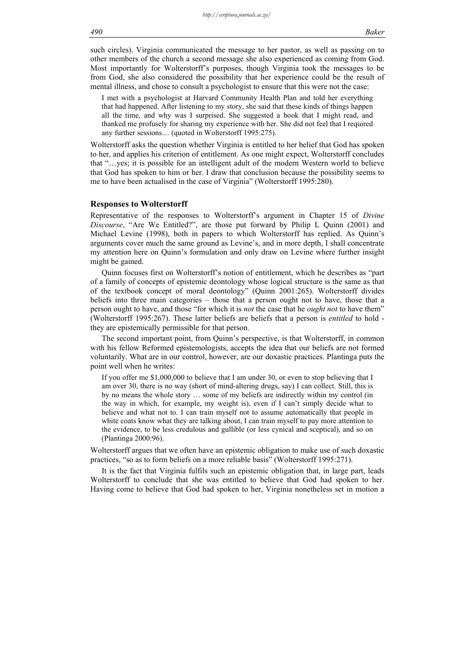such circles). Virginia communicated the message to her pastor, as well as passing on to other members of the church a second message she also experienced as coming from God. Most importantly for Wolterstorff's purposes, though Virginia took the messages to be from God, she also considered the possibility that her experience could be the result of mental illness, and chose to consult a psychologist to ensure that this were not the case:

I met with a psychologist at Harvard Community Health Plan and told her everything that had happened. After listening to my story, she said that these kinds of things happen all the time, and why was I surprised. She suggested a book that I might read, and thanked me profusely for sharing my experience with her. She did not feel that I required any further sessions… (quoted in Wolterstorff 1995:275).

Wolterstorff asks the question whether Virginia is entitled to her belief that God has spoken to her, and applies his criterion of entitlement. As one might expect, Wolterstorff concludes that "…yes; it is possible for an intelligent adult of the modern Western world to believe that God has spoken to him or her. I draw that conclusion because the possibility seems to me to have been actualised in the case of Virginia" (Wolterstorff 1995:280).

#### **Responses to Wolterstorff**

Representative of the responses to Wolterstorff's argument in Chapter 15 of *Divine Discourse*, "Are We Entitled?", are those put forward by Philip L Quinn (2001) and Michael Levine (1998), both in papers to which Wolterstorff has replied. As Quinn's arguments cover much the same ground as Levine's, and in more depth, I shall concentrate my attention here on Quinn's formulation and only draw on Levine where further insight might be gained.

Quinn focuses first on Wolterstorff's notion of entitlement, which he describes as "part of a family of concepts of epistemic deontology whose logical structure is the same as that of the textbook concept of moral deontology" (Quinn 2001:265). Wolterstorff divides beliefs into three main categories – those that a person ought not to have, those that a person ought to have, and those "for which it is *not* the case that he *ought not* to have them" (Wolterstorff 1995:267). These latter beliefs are beliefs that a person is *entitled* to hold they are epistemically permissible for that person.

The second important point, from Quinn's perspective, is that Wolterstorff, in common with his fellow Reformed epistemologists, accepts the idea that our beliefs are not formed voluntarily. What are in our control, however, are our doxastic practices. Plantinga puts the point well when he writes:

If you offer me \$1,000,000 to believe that I am under 30, or even to stop believing that I am over 30, there is no way (short of mind-altering drugs, say) I can collect. Still, this is by no means the whole story … some of my beliefs are indirectly within my control (in the way in which, for example, my weight is), even if I can't simply decide what to believe and what not to. I can train myself not to assume automatically that people in white coats know what they are talking about, I can train myself to pay more attention to the evidence, to be less credulous and gullible (or less cynical and sceptical), and so on (Plantinga 2000:96).

Wolterstorff argues that we often have an epistemic obligation to make use of such doxastic practices, "so as to form beliefs on a more reliable basis" (Wolterstorff 1995:271).

It is the fact that Virginia fulfils such an epistemic obligation that, in large part, leads Wolterstorff to conclude that she was entitled to believe that God had spoken to her. Having come to believe that God had spoken to her, Virginia nonetheless set in motion a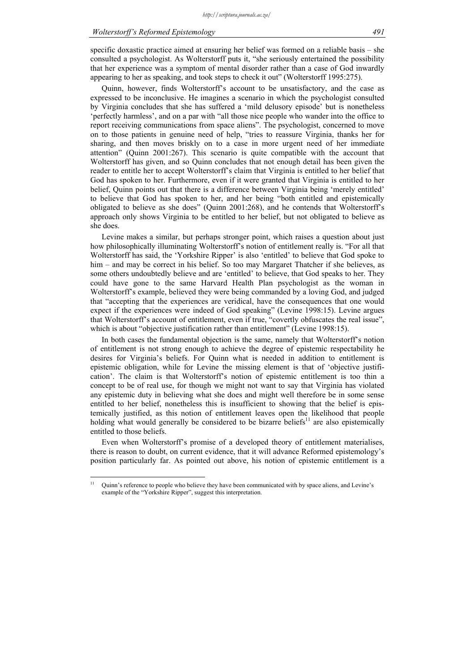specific doxastic practice aimed at ensuring her belief was formed on a reliable basis – she consulted a psychologist. As Wolterstorff puts it, "she seriously entertained the possibility that her experience was a symptom of mental disorder rather than a case of God inwardly appearing to her as speaking, and took steps to check it out" (Wolterstorff 1995:275).

Quinn, however, finds Wolterstorff's account to be unsatisfactory, and the case as expressed to be inconclusive. He imagines a scenario in which the psychologist consulted by Virginia concludes that she has suffered a 'mild delusory episode' but is nonetheless 'perfectly harmless', and on a par with "all those nice people who wander into the office to report receiving communications from space aliens". The psychologist, concerned to move on to those patients in genuine need of help, "tries to reassure Virginia, thanks her for sharing, and then moves briskly on to a case in more urgent need of her immediate attention" (Quinn 2001:267). This scenario is quite compatible with the account that Wolterstorff has given, and so Quinn concludes that not enough detail has been given the reader to entitle her to accept Wolterstorff's claim that Virginia is entitled to her belief that God has spoken to her. Furthermore, even if it were granted that Virginia is entitled to her belief, Quinn points out that there is a difference between Virginia being 'merely entitled' to believe that God has spoken to her, and her being "both entitled and epistemically obligated to believe as she does" (Quinn 2001:268), and he contends that Wolterstorff's approach only shows Virginia to be entitled to her belief, but not obligated to believe as she does.

Levine makes a similar, but perhaps stronger point, which raises a question about just how philosophically illuminating Wolterstorff's notion of entitlement really is. "For all that Wolterstorff has said, the 'Yorkshire Ripper' is also 'entitled' to believe that God spoke to him – and may be correct in his belief. So too may Margaret Thatcher if she believes, as some others undoubtedly believe and are 'entitled' to believe, that God speaks to her. They could have gone to the same Harvard Health Plan psychologist as the woman in Wolterstorff's example, believed they were being commanded by a loving God, and judged that "accepting that the experiences are veridical, have the consequences that one would expect if the experiences were indeed of God speaking" (Levine 1998:15). Levine argues that Wolterstorff's account of entitlement, even if true, "covertly obfuscates the real issue", which is about "objective justification rather than entitlement" (Levine 1998:15).

In both cases the fundamental objection is the same, namely that Wolterstorff's notion of entitlement is not strong enough to achieve the degree of epistemic respectability he desires for Virginia's beliefs. For Quinn what is needed in addition to entitlement is epistemic obligation, while for Levine the missing element is that of 'objective justification'. The claim is that Wolterstorff's notion of epistemic entitlement is too thin a concept to be of real use, for though we might not want to say that Virginia has violated any epistemic duty in believing what she does and might well therefore be in some sense entitled to her belief, nonetheless this is insufficient to showing that the belief is epistemically justified, as this notion of entitlement leaves open the likelihood that people holding what would generally be considered to be bizarre beliefs $^{11}$  are also epistemically entitled to those beliefs.

Even when Wolterstorff's promise of a developed theory of entitlement materialises, there is reason to doubt, on current evidence, that it will advance Reformed epistemology's position particularly far. As pointed out above, his notion of epistemic entitlement is a

 $\bar{1}1$ 11 Quinn's reference to people who believe they have been communicated with by space aliens, and Levine's example of the "Yorkshire Ripper", suggest this interpretation.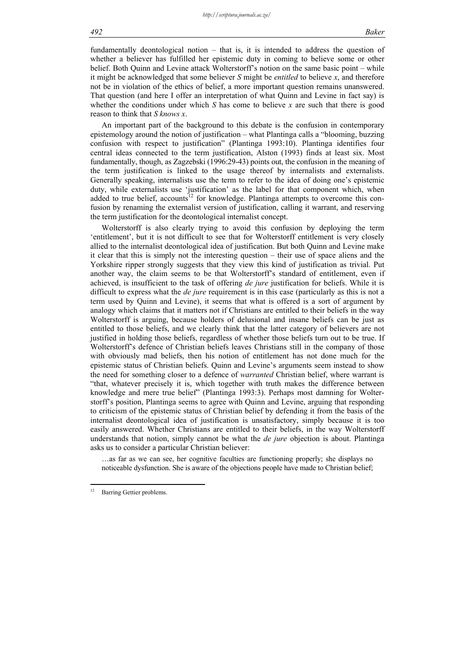fundamentally deontological notion – that is, it is intended to address the question of whether a believer has fulfilled her epistemic duty in coming to believe some or other belief. Both Quinn and Levine attack Wolterstorff's notion on the same basic point – while it might be acknowledged that some believer *S* might be *entitled* to believe *x*, and therefore not be in violation of the ethics of belief, a more important question remains unanswered. That question (and here I offer an interpretation of what Quinn and Levine in fact say) is whether the conditions under which *S* has come to believe *x* are such that there is good reason to think that *S knows x*.

An important part of the background to this debate is the confusion in contemporary epistemology around the notion of justification – what Plantinga calls a "blooming, buzzing confusion with respect to justification" (Plantinga 1993:10). Plantinga identifies four central ideas connected to the term justification, Alston (1993) finds at least six. Most fundamentally, though, as Zagzebski (1996:29-43) points out, the confusion in the meaning of the term justification is linked to the usage thereof by internalists and externalists. Generally speaking, internalists use the term to refer to the idea of doing one's epistemic duty, while externalists use 'justification' as the label for that component which, when added to true belief, accounts<sup>12</sup> for knowledge. Plantinga attempts to overcome this confusion by renaming the externalist version of justification, calling it warrant, and reserving the term justification for the deontological internalist concept.

Wolterstorff is also clearly trying to avoid this confusion by deploying the term 'entitlement', but it is not difficult to see that for Wolterstorff entitlement is very closely allied to the internalist deontological idea of justification. But both Quinn and Levine make it clear that this is simply not the interesting question – their use of space aliens and the Yorkshire ripper strongly suggests that they view this kind of justification as trivial. Put another way, the claim seems to be that Wolterstorff's standard of entitlement, even if achieved, is insufficient to the task of offering *de jure* justification for beliefs. While it is difficult to express what the *de jure* requirement is in this case (particularly as this is not a term used by Quinn and Levine), it seems that what is offered is a sort of argument by analogy which claims that it matters not if Christians are entitled to their beliefs in the way Wolterstorff is arguing, because holders of delusional and insane beliefs can be just as entitled to those beliefs, and we clearly think that the latter category of believers are not justified in holding those beliefs, regardless of whether those beliefs turn out to be true. If Wolterstorff's defence of Christian beliefs leaves Christians still in the company of those with obviously mad beliefs, then his notion of entitlement has not done much for the epistemic status of Christian beliefs. Quinn and Levine's arguments seem instead to show the need for something closer to a defence of *warranted* Christian belief, where warrant is "that, whatever precisely it is, which together with truth makes the difference between knowledge and mere true belief" (Plantinga 1993:3). Perhaps most damning for Wolterstorff's position, Plantinga seems to agree with Quinn and Levine, arguing that responding to criticism of the epistemic status of Christian belief by defending it from the basis of the internalist deontological idea of justification is unsatisfactory, simply because it is too easily answered. Whether Christians are entitled to their beliefs, in the way Wolterstorff understands that notion, simply cannot be what the *de jure* objection is about. Plantinga asks us to consider a particular Christian believer:

…as far as we can see, her cognitive faculties are functioning properly; she displays no noticeable dysfunction. She is aware of the objections people have made to Christian belief;

 $12$ Barring Gettier problems.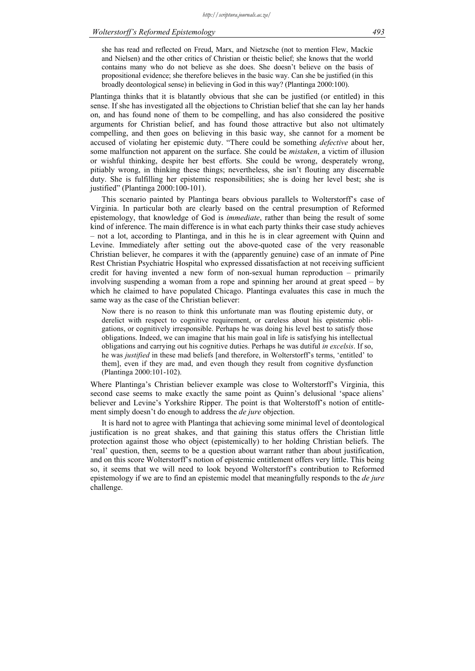she has read and reflected on Freud, Marx, and Nietzsche (not to mention Flew, Mackie and Nielsen) and the other critics of Christian or theistic belief; she knows that the world contains many who do not believe as she does. She doesn't believe on the basis of propositional evidence; she therefore believes in the basic way. Can she be justified (in this broadly deontological sense) in believing in God in this way? (Plantinga 2000:100).

Plantinga thinks that it is blatantly obvious that she can be justified (or entitled) in this sense. If she has investigated all the objections to Christian belief that she can lay her hands on, and has found none of them to be compelling, and has also considered the positive arguments for Christian belief, and has found those attractive but also not ultimately compelling, and then goes on believing in this basic way, she cannot for a moment be accused of violating her epistemic duty. "There could be something *defective* about her, some malfunction not apparent on the surface. She could be *mistaken*, a victim of illusion or wishful thinking, despite her best efforts. She could be wrong, desperately wrong, pitiably wrong, in thinking these things; nevertheless, she isn't flouting any discernable duty. She is fulfilling her epistemic responsibilities; she is doing her level best; she is justified" (Plantinga 2000:100-101).

This scenario painted by Plantinga bears obvious parallels to Wolterstorff's case of Virginia. In particular both are clearly based on the central presumption of Reformed epistemology, that knowledge of God is *immediate*, rather than being the result of some kind of inference. The main difference is in what each party thinks their case study achieves – not a lot, according to Plantinga, and in this he is in clear agreement with Quinn and Levine. Immediately after setting out the above-quoted case of the very reasonable Christian believer, he compares it with the (apparently genuine) case of an inmate of Pine Rest Christian Psychiatric Hospital who expressed dissatisfaction at not receiving sufficient credit for having invented a new form of non-sexual human reproduction – primarily involving suspending a woman from a rope and spinning her around at great speed – by which he claimed to have populated Chicago. Plantinga evaluates this case in much the same way as the case of the Christian believer:

Now there is no reason to think this unfortunate man was flouting epistemic duty, or derelict with respect to cognitive requirement, or careless about his epistemic obligations, or cognitively irresponsible. Perhaps he was doing his level best to satisfy those obligations. Indeed, we can imagine that his main goal in life is satisfying his intellectual obligations and carrying out his cognitive duties. Perhaps he was dutiful *in excelsis*. If so, he was *justified* in these mad beliefs [and therefore, in Wolterstorff's terms, 'entitled' to them], even if they are mad, and even though they result from cognitive dysfunction (Plantinga 2000:101-102).

Where Plantinga's Christian believer example was close to Wolterstorff's Virginia, this second case seems to make exactly the same point as Quinn's delusional 'space aliens' believer and Levine's Yorkshire Ripper. The point is that Wolterstoff's notion of entitlement simply doesn't do enough to address the *de jure* objection.

It is hard not to agree with Plantinga that achieving some minimal level of deontological justification is no great shakes, and that gaining this status offers the Christian little protection against those who object (epistemically) to her holding Christian beliefs. The 'real' question, then, seems to be a question about warrant rather than about justification, and on this score Wolterstorff's notion of epistemic entitlement offers very little. This being so, it seems that we will need to look beyond Wolterstorff's contribution to Reformed epistemology if we are to find an epistemic model that meaningfully responds to the *de jure* challenge.